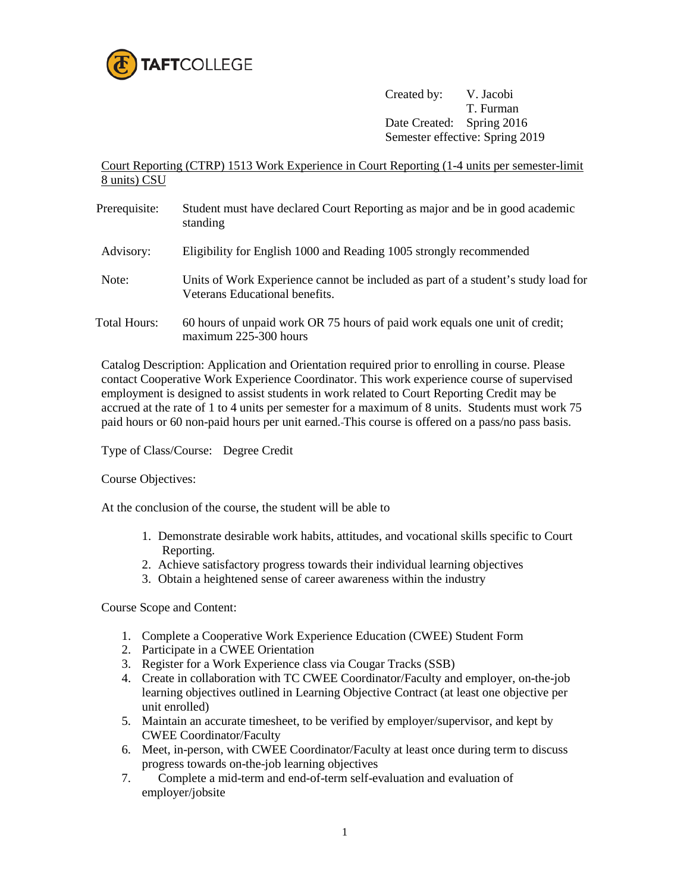

Created by: V. Jacobi T. Furman Date Created: Spring 2016 Semester effective: Spring 2019

Court Reporting (CTRP) 1513 Work Experience in Court Reporting (1-4 units per semester-limit 8 units) CSU

Prerequisite: Student must have declared Court Reporting as major and be in good academic standing Advisory: Eligibility for English 1000 and Reading 1005 strongly recommended Note: Units of Work Experience cannot be included as part of a student's study load for Veterans Educational benefits. Total Hours: 60 hours of unpaid work OR 75 hours of paid work equals one unit of credit; maximum 225-300 hours

Catalog Description: Application and Orientation required prior to enrolling in course. Please contact Cooperative Work Experience Coordinator. This work experience course of supervised employment is designed to assist students in work related to Court Reporting Credit may be accrued at the rate of 1 to 4 units per semester for a maximum of 8 units. Students must work 75 paid hours or 60 non-paid hours per unit earned. This course is offered on a pass/no pass basis.

Type of Class/Course: Degree Credit

Course Objectives:

At the conclusion of the course, the student will be able to

- 1. Demonstrate desirable work habits, attitudes, and vocational skills specific to Court Reporting.
- 2. Achieve satisfactory progress towards their individual learning objectives
- 3. Obtain a heightened sense of career awareness within the industry

Course Scope and Content:

- 1. Complete a Cooperative Work Experience Education (CWEE) Student Form
- 2. Participate in a CWEE Orientation
- 3. Register for a Work Experience class via Cougar Tracks (SSB)
- 4. Create in collaboration with TC CWEE Coordinator/Faculty and employer, on-the-job learning objectives outlined in Learning Objective Contract (at least one objective per unit enrolled)
- 5. Maintain an accurate timesheet, to be verified by employer/supervisor, and kept by CWEE Coordinator/Faculty
- 6. Meet, in-person, with CWEE Coordinator/Faculty at least once during term to discuss progress towards on-the-job learning objectives
- 7. Complete a mid-term and end-of-term self-evaluation and evaluation of employer/jobsite